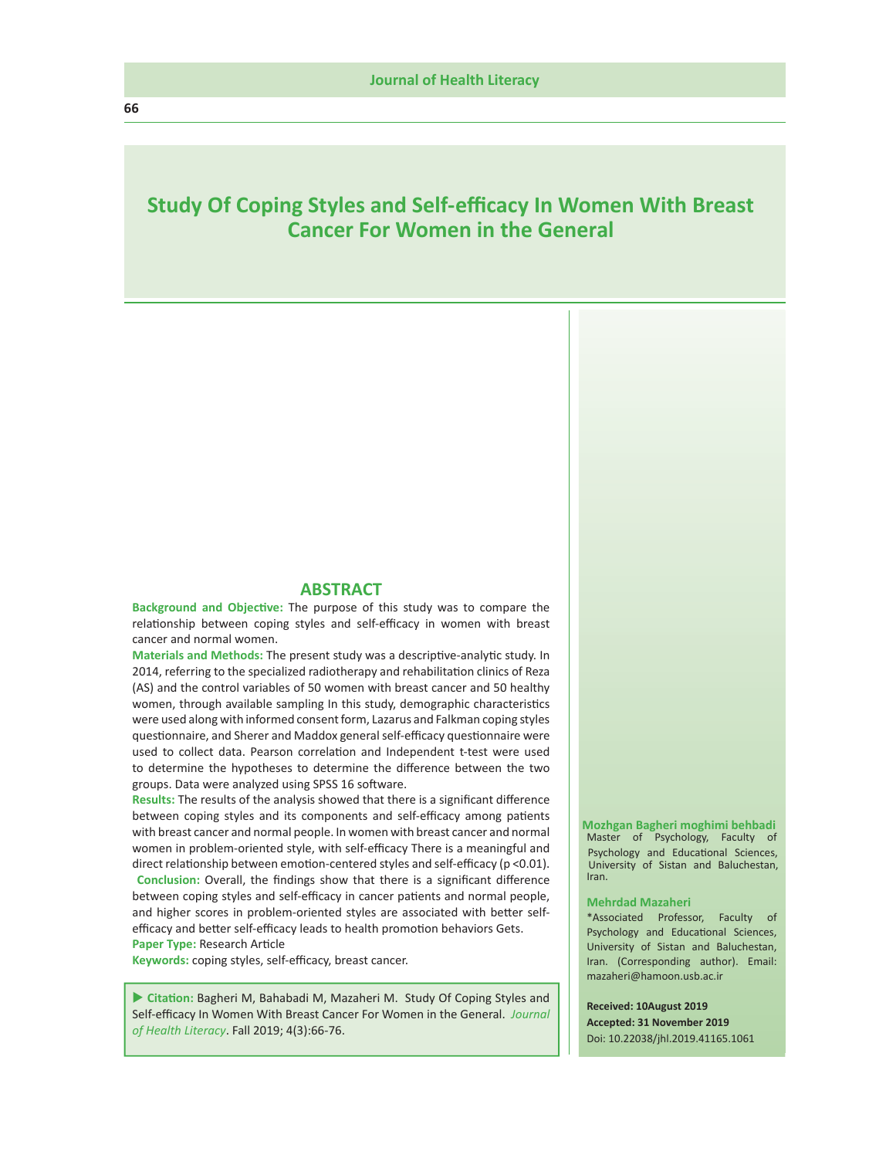# **Study Of Coping Styles and Self-efficacy In Women With Breast Cancer For Women in the General**

#### **ABSTRACT**

**Background and Objective:** The purpose of this study was to compare the relationship between coping styles and self-efficacy in women with breast cancer and normal women.

**Materials and Methods:** The present study was a descriptive-analytic study. In 2014, referring to the specialized radiotherapy and rehabilitation clinics of Reza (AS) and the control variables of 50 women with breast cancer and 50 healthy women, through available sampling In this study, demographic characteristics were used along with informed consent form, Lazarus and Falkman coping styles questionnaire, and Sherer and Maddox general self-efficacy questionnaire were used to collect data. Pearson correlation and Independent t-test were used to determine the hypotheses to determine the difference between the two groups. Data were analyzed using SPSS 16 software.

**Results:** The results of the analysis showed that there is a significant difference between coping styles and its components and self-efficacy among patients with breast cancer and normal people. In women with breast cancer and normal women in problem-oriented style, with self-efficacy There is a meaningful and direct relationship between emotion-centered styles and self-efficacy (p <0.01).

**Conclusion:** Overall, the findings show that there is a significant difference between coping styles and self-efficacy in cancer patients and normal people, and higher scores in problem-oriented styles are associated with better selfefficacy and better self-efficacy leads to health promotion behaviors Gets. **Paper Type:** Research Article

**Keywords:** coping styles, self-efficacy, breast cancer.

 **Citation:** Bagheri M, Bahabadi M, Mazaheri M. Study Of Coping Styles and Self-efficacy In Women With Breast Cancer For Women in the General. *Journal of Health Literacy*. Fall 2019; 4(3):66-76.

#### Master of Psychology, Faculty of Psychology and Educational Sciences, University of Sistan and Baluchestan, Iran.  **Mozhgan Bagheri moghimi behbadi**

#### **Mehrdad Mazaheri**

\*Associated Professor, Faculty of Psychology and Educational Sciences, University of Sistan and Baluchestan, Iran. (Corresponding author). Email: mazaheri@hamoon.usb.ac.ir

#### **Received: 10August 2019**

**Accepted: 31 November 2019** Doi: 10.22038/jhl.2019.41165.1061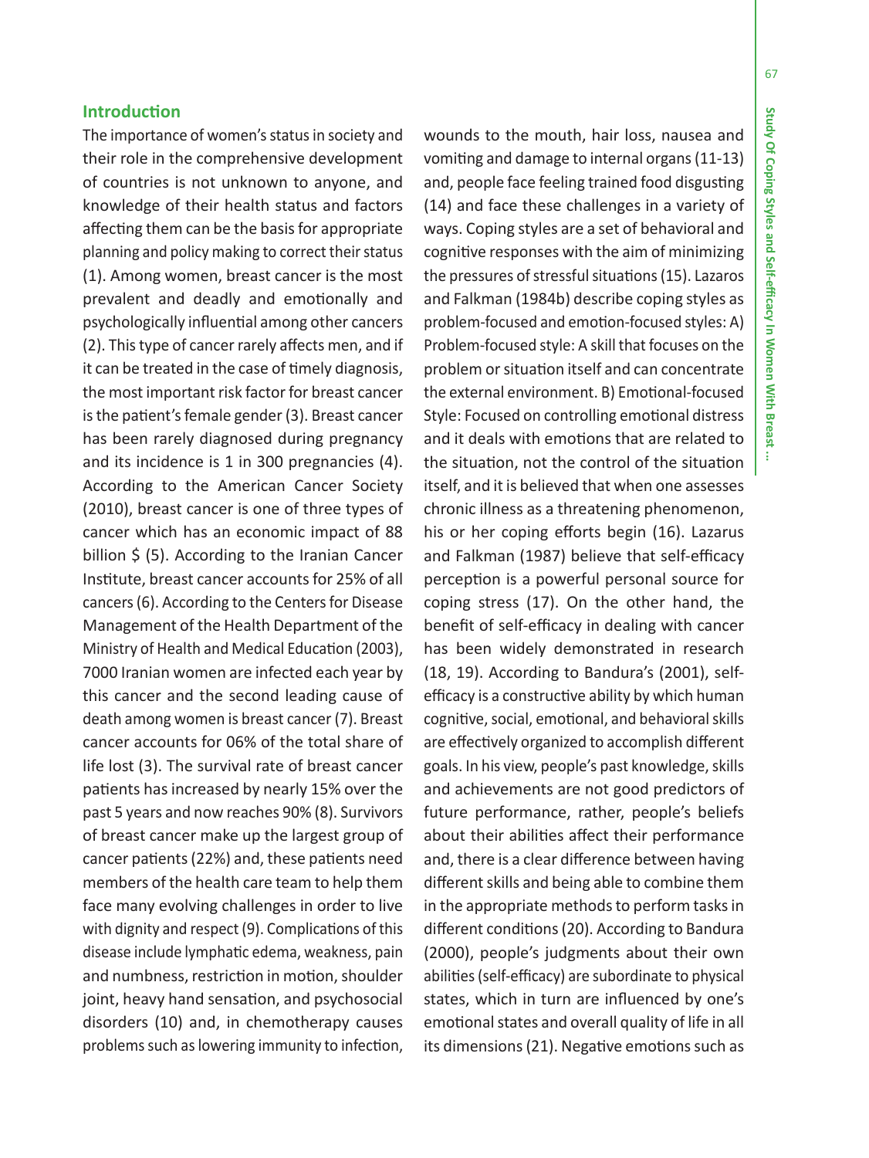## **Introduction**

The importance of women's status in society and their role in the comprehensive development of countries is not unknown to anyone, and knowledge of their health status and factors affecting them can be the basis for appropriate planning and policy making to correct their status (1). Among women, breast cancer is the most prevalent and deadly and emotionally and psychologically influential among other cancers (2). This type of cancer rarely affects men, and if it can be treated in the case of timely diagnosis, the most important risk factor for breast cancer is the patient's female gender (3). Breast cancer has been rarely diagnosed during pregnancy and its incidence is 1 in 300 pregnancies (4). According to the American Cancer Society (2010), breast cancer is one of three types of cancer which has an economic impact of 88 billion \$ (5). According to the Iranian Cancer Institute, breast cancer accounts for 25% of all cancers (6). According to the Centers for Disease Management of the Health Department of the Ministry of Health and Medical Education (2003), 7000 Iranian women are infected each year by this cancer and the second leading cause of death among women is breast cancer (7). Breast cancer accounts for 06% of the total share of life lost (3). The survival rate of breast cancer patients has increased by nearly 15% over the past 5 years and now reaches 90% (8). Survivors of breast cancer make up the largest group of cancer patients (22%) and, these patients need members of the health care team to help them face many evolving challenges in order to live with dignity and respect (9). Complications of this disease include lymphatic edema, weakness, pain and numbness, restriction in motion, shoulder joint, heavy hand sensation, and psychosocial disorders (10) and, in chemotherapy causes problems such as lowering immunity to infection,

wounds to the mouth, hair loss, nausea and vomiting and damage to internal organs (11-13) and, people face feeling trained food disgusting (14) and face these challenges in a variety of ways. Coping styles are a set of behavioral and cognitive responses with the aim of minimizing the pressures of stressful situations (15). Lazaros and Falkman (1984b) describe coping styles as problem-focused and emotion-focused styles: A) Problem-focused style: A skill that focuses on the problem or situation itself and can concentrate the external environment. B) Emotional-focused Style: Focused on controlling emotional distress and it deals with emotions that are related to the situation, not the control of the situation itself, and it is believed that when one assesses chronic illness as a threatening phenomenon, his or her coping efforts begin (16). Lazarus and Falkman (1987) believe that self-efficacy perception is a powerful personal source for coping stress (17). On the other hand, the benefit of self-efficacy in dealing with cancer has been widely demonstrated in research (18, 19). According to Bandura's (2001), selfefficacy is a constructive ability by which human cognitive, social, emotional, and behavioral skills are effectively organized to accomplish different goals. In his view, people's past knowledge, skills and achievements are not good predictors of future performance, rather, people's beliefs about their abilities affect their performance and, there is a clear difference between having different skills and being able to combine them in the appropriate methods to perform tasks in different conditions (20). According to Bandura (2000), people's judgments about their own abilities (self-efficacy) are subordinate to physical states, which in turn are influenced by one's emotional states and overall quality of life in all its dimensions (21). Negative emotions such as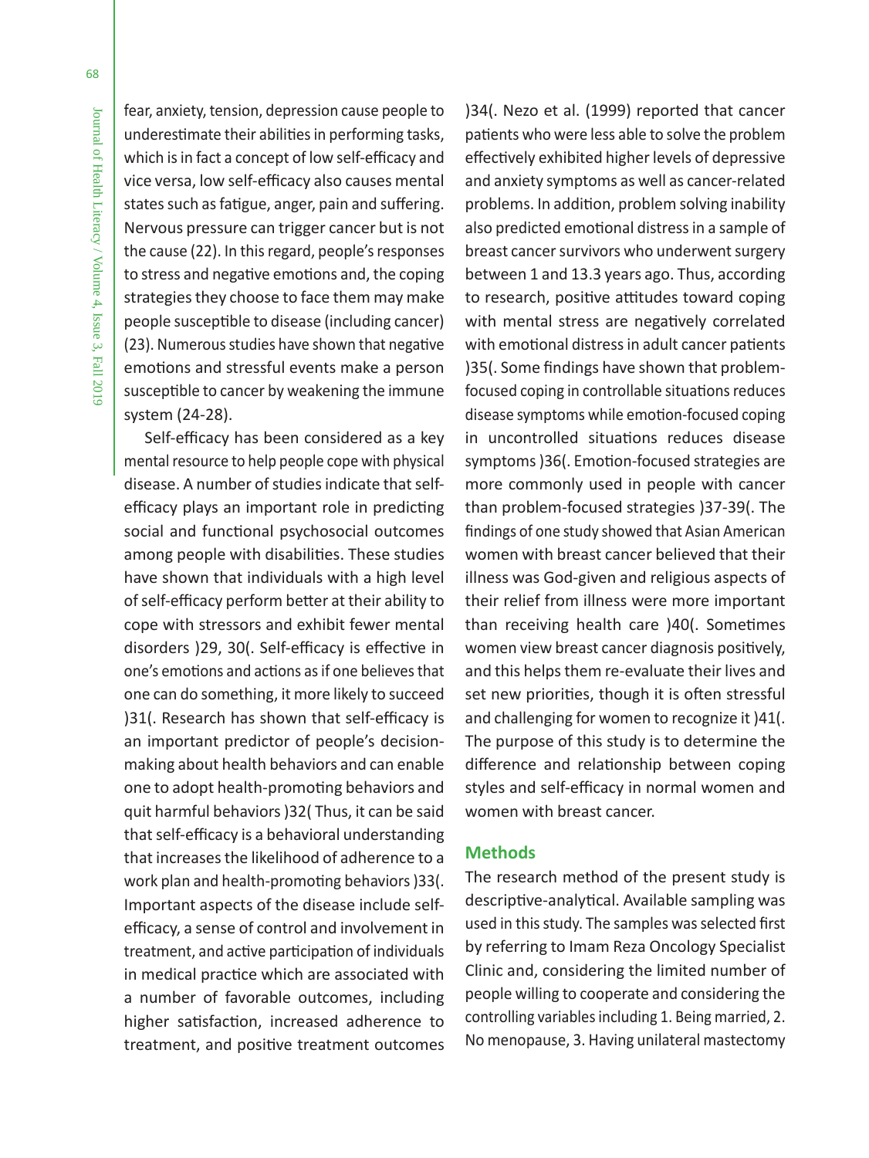fear, anxiety, tension, depression cause people to underestimate their abilities in performing tasks, which is in fact a concept of low self-efficacy and vice versa, low self-efficacy also causes mental states such as fatigue, anger, pain and suffering. Nervous pressure can trigger cancer but is not the cause (22). In this regard, people's responses to stress and negative emotions and, the coping strategies they choose to face them may make people susceptible to disease (including cancer) (23). Numerous studies have shown that negative emotions and stressful events make a person susceptible to cancer by weakening the immune system (24-28).

Self-efficacy has been considered as a key mental resource to help people cope with physical disease. A number of studies indicate that selfefficacy plays an important role in predicting social and functional psychosocial outcomes among people with disabilities. These studies have shown that individuals with a high level of self-efficacy perform better at their ability to cope with stressors and exhibit fewer mental disorders )29, 30(. Self-efficacy is effective in one's emotions and actions as if one believes that one can do something, it more likely to succeed )31(. Research has shown that self-efficacy is an important predictor of people's decisionmaking about health behaviors and can enable one to adopt health-promoting behaviors and quit harmful behaviors )32( Thus, it can be said that self-efficacy is a behavioral understanding that increases the likelihood of adherence to a work plan and health-promoting behaviors )33(. Important aspects of the disease include selfefficacy, a sense of control and involvement in treatment, and active participation of individuals in medical practice which are associated with a number of favorable outcomes, including higher satisfaction, increased adherence to treatment, and positive treatment outcomes

)34(. Nezo et al. (1999) reported that cancer patients who were less able to solve the problem effectively exhibited higher levels of depressive and anxiety symptoms as well as cancer-related problems. In addition, problem solving inability also predicted emotional distress in a sample of breast cancer survivors who underwent surgery between 1 and 13.3 years ago. Thus, according to research, positive attitudes toward coping with mental stress are negatively correlated with emotional distress in adult cancer patients )35(. Some findings have shown that problemfocused coping in controllable situations reduces disease symptoms while emotion-focused coping in uncontrolled situations reduces disease symptoms )36(. Emotion-focused strategies are more commonly used in people with cancer than problem-focused strategies )37-39(. The findings of one study showed that Asian American women with breast cancer believed that their illness was God-given and religious aspects of their relief from illness were more important than receiving health care )40(. Sometimes women view breast cancer diagnosis positively, and this helps them re-evaluate their lives and set new priorities, though it is often stressful and challenging for women to recognize it )41(. The purpose of this study is to determine the difference and relationship between coping styles and self-efficacy in normal women and women with breast cancer.

## **Methods**

The research method of the present study is descriptive-analytical. Available sampling was used in this study. The samples was selected first by referring to Imam Reza Oncology Specialist Clinic and, considering the limited number of people willing to cooperate and considering the controlling variables including 1. Being married, 2. No menopause, 3. Having unilateral mastectomy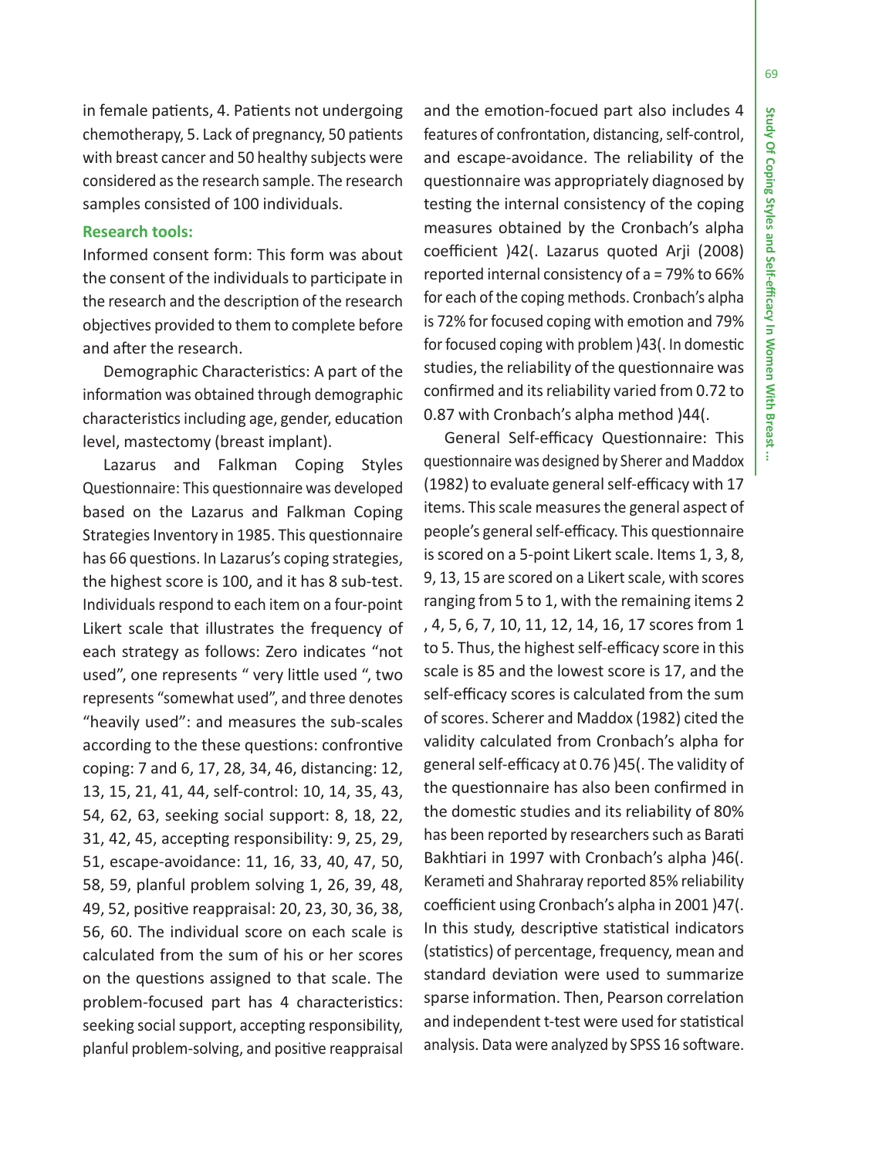69

in female patients, 4. Patients not undergoing chemotherapy, 5. Lack of pregnancy, 50 patients with breast cancer and 50 healthy subjects were considered as the research sample. The research samples consisted of 100 individuals.

## **Research tools:**

Informed consent form: This form was about the consent of the individuals to participate in the research and the description of the research objectives provided to them to complete before and after the research.

Demographic Characteristics: A part of the information was obtained through demographic characteristics including age, gender, education level, mastectomy (breast implant).

Lazarus and Falkman Coping Styles Questionnaire: This questionnaire was developed based on the Lazarus and Falkman Coping Strategies Inventory in 1985. This questionnaire has 66 questions. In Lazarus's coping strategies, the highest score is 100, and it has 8 sub-test. Individuals respond to each item on a four-point Likert scale that illustrates the frequency of each strategy as follows: Zero indicates "not used", one represents " very little used ", two represents "somewhat used", and three denotes "heavily used": and measures the sub-scales according to the these questions: confrontive coping: 7 and 6, 17, 28, 34, 46, distancing: 12, 13, 15, 21, 41, 44, self-control: 10, 14, 35, 43, 54, 62, 63, seeking social support: 8, 18, 22, 31, 42, 45, accepting responsibility: 9, 25, 29, 51, escape-avoidance: 11, 16, 33, 40, 47, 50, 58, 59, planful problem solving 1, 26, 39, 48, 49, 52, positive reappraisal: 20, 23, 30, 36, 38, 56, 60. The individual score on each scale is calculated from the sum of his or her scores on the questions assigned to that scale. The problem-focused part has 4 characteristics: seeking social support, accepting responsibility, planful problem-solving, and positive reappraisal

and the emotion-focued part also includes 4 features of confrontation, distancing, self-control, and escape-avoidance. The reliability of the questionnaire was appropriately diagnosed by testing the internal consistency of the coping measures obtained by the Cronbach's alpha coefficient )42(. Lazarus quoted Arji (2008) reported internal consistency of a = 79% to 66% for each of the coping methods. Cronbach's alpha is 72% for focused coping with emotion and 79% for focused coping with problem )43(. In domestic studies, the reliability of the questionnaire was confirmed and its reliability varied from 0.72 to 0.87 with Cronbach's alpha method )44(.

General Self-efficacy Questionnaire: This questionnaire was designed by Sherer and Maddox (1982) to evaluate general self-efficacy with 17 items. This scale measures the general aspect of people's general self-efficacy. This questionnaire is scored on a 5-point Likert scale. Items 1, 3, 8, 9, 13, 15 are scored on a Likert scale, with scores ranging from 5 to 1, with the remaining items 2 , 4, 5, 6, 7, 10, 11, 12, 14, 16, 17 scores from 1 to 5. Thus, the highest self-efficacy score in this scale is 85 and the lowest score is 17, and the self-efficacy scores is calculated from the sum of scores. Scherer and Maddox (1982) cited the validity calculated from Cronbach's alpha for general self-efficacy at 0.76 )45(. The validity of the questionnaire has also been confirmed in the domestic studies and its reliability of 80% has been reported by researchers such as Barati Bakhtiari in 1997 with Cronbach's alpha )46(. Kerameti and Shahraray reported 85% reliability coefficient using Cronbach's alpha in 2001 )47(. In this study, descriptive statistical indicators (statistics) of percentage, frequency, mean and standard deviation were used to summarize sparse information. Then, Pearson correlation and independent t-test were used for statistical analysis. Data were analyzed by SPSS 16 software.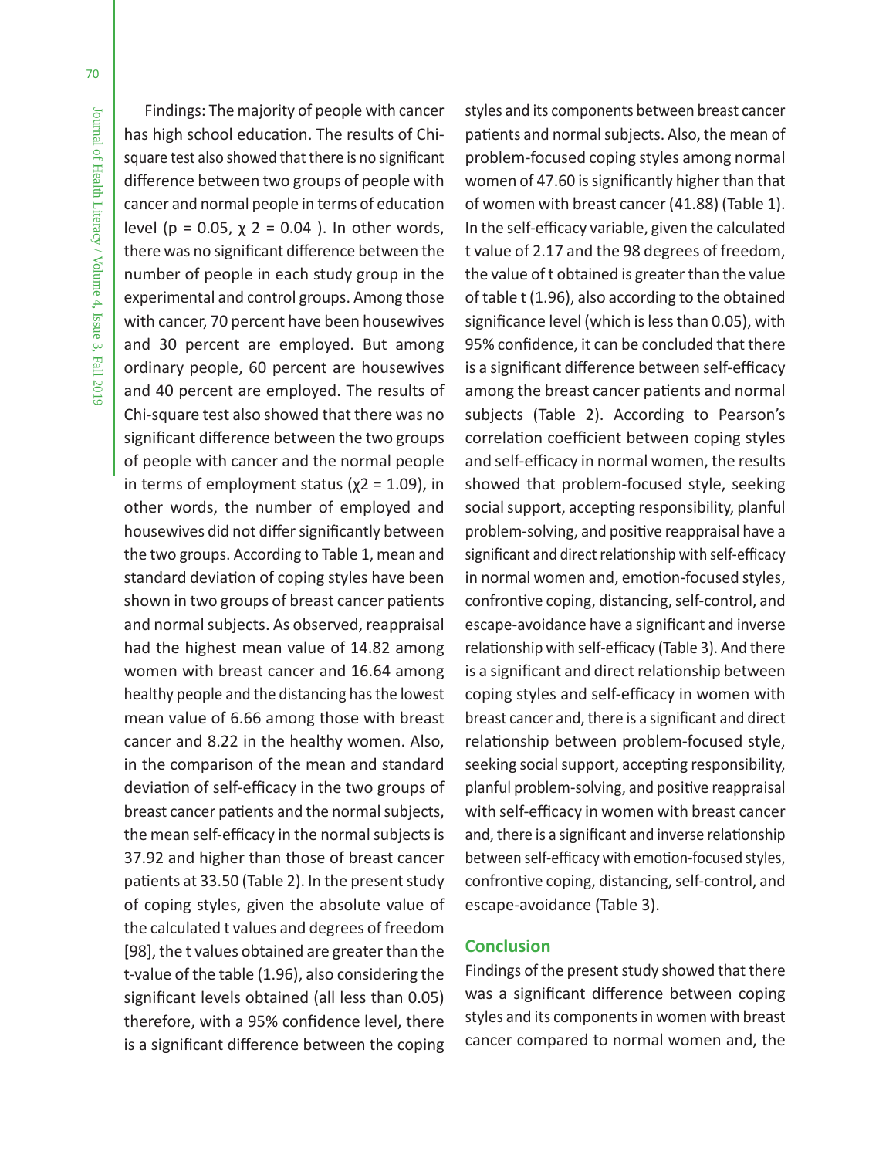Findings: The majority of people with cancer has high school education. The results of Chisquare test also showed that there is no significant difference between two groups of people with cancer and normal people in terms of education level ( $p = 0.05$ ,  $χ$  2 = 0.04 ). In other words, there was no significant difference between the number of people in each study group in the experimental and control groups. Among those with cancer, 70 percent have been housewives and 30 percent are employed. But among ordinary people, 60 percent are housewives and 40 percent are employed. The results of Chi-square test also showed that there was no significant difference between the two groups of people with cancer and the normal people in terms of employment status ( $\chi$ 2 = 1.09), in other words, the number of employed and housewives did not differ significantly between the two groups. According to Table 1, mean and standard deviation of coping styles have been shown in two groups of breast cancer patients and normal subjects. As observed, reappraisal had the highest mean value of 14.82 among women with breast cancer and 16.64 among healthy people and the distancing has the lowest mean value of 6.66 among those with breast cancer and 8.22 in the healthy women. Also, in the comparison of the mean and standard deviation of self-efficacy in the two groups of breast cancer patients and the normal subjects, the mean self-efficacy in the normal subjects is 37.92 and higher than those of breast cancer patients at 33.50 (Table 2). In the present study of coping styles, given the absolute value of the calculated t values and degrees of freedom [98], the t values obtained are greater than the t-value of the table (1.96), also considering the significant levels obtained (all less than 0.05) therefore, with a 95% confidence level, there is a significant difference between the coping

styles and its components between breast cancer patients and normal subjects. Also, the mean of problem-focused coping styles among normal women of 47.60 is significantly higher than that of women with breast cancer (41.88) (Table 1). In the self-efficacy variable, given the calculated t value of 2.17 and the 98 degrees of freedom, the value of t obtained is greater than the value of table t (1.96), also according to the obtained significance level (which is less than 0.05), with 95% confidence, it can be concluded that there is a significant difference between self-efficacy among the breast cancer patients and normal subjects (Table 2). According to Pearson's correlation coefficient between coping styles and self-efficacy in normal women, the results showed that problem-focused style, seeking social support, accepting responsibility, planful problem-solving, and positive reappraisal have a significant and direct relationship with self-efficacy in normal women and, emotion-focused styles, confrontive coping, distancing, self-control, and escape-avoidance have a significant and inverse relationship with self-efficacy (Table 3). And there is a significant and direct relationship between coping styles and self-efficacy in women with breast cancer and, there is a significant and direct relationship between problem-focused style, seeking social support, accepting responsibility, planful problem-solving, and positive reappraisal with self-efficacy in women with breast cancer and, there is a significant and inverse relationship between self-efficacy with emotion-focused styles, confrontive coping, distancing, self-control, and escape-avoidance (Table 3).

### **Conclusion**

Findings of the present study showed that there was a significant difference between coping styles and its components in women with breast cancer compared to normal women and, the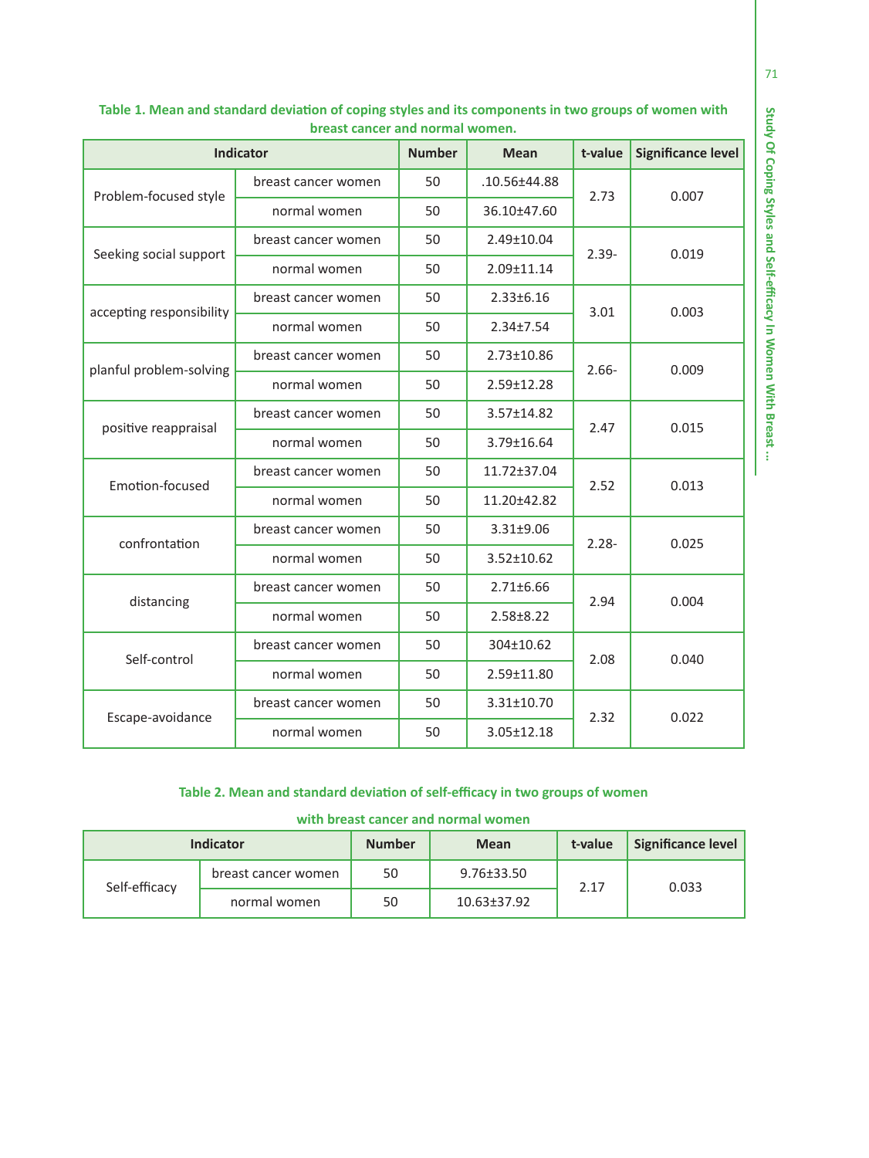|                          | Indicator           | <b>Number</b> | t-value<br><b>Mean</b> |          | <b>Significance level</b> |
|--------------------------|---------------------|---------------|------------------------|----------|---------------------------|
| Problem-focused style    | breast cancer women | 50            | .10.56±44.88           | 2.73     | 0.007                     |
|                          | normal women        | 50            | 36.10±47.60            |          |                           |
|                          | breast cancer women | 50            | 2.49±10.04             | $2.39 -$ | 0.019                     |
| Seeking social support   | normal women        | 50            | 2.09±11.14             |          |                           |
| accepting responsibility | breast cancer women | 50            | $2.33 \pm 6.16$        | 3.01     | 0.003                     |
|                          | normal women        | 50            | $2.34 \pm 7.54$        |          |                           |
| planful problem-solving  | breast cancer women | 50            | 2.73±10.86             | $2.66 -$ | 0.009                     |
|                          | normal women        | 50            | 2.59±12.28             |          |                           |
| positive reappraisal     | breast cancer women | 50            | 3.57±14.82             | 2.47     | 0.015                     |
|                          | normal women        | 50            | 3.79±16.64             |          |                           |
| Emotion-focused          | breast cancer women | 50            | 11.72±37.04            | 2.52     | 0.013                     |
|                          | normal women        | 50            | 11.20±42.82            |          |                           |
| confrontation            | breast cancer women | 50            | 3.31±9.06              | $2.28 -$ | 0.025                     |
|                          | normal women        | 50            | $3.52 \pm 10.62$       |          |                           |
| distancing               | breast cancer women | 50            | $2.71 \pm 6.66$        | 2.94     | 0.004                     |
|                          | normal women        | 50            | $2.58 \pm 8.22$        |          |                           |
| Self-control             | breast cancer women | 50            | 304±10.62              | 2.08     | 0.040                     |
|                          | normal women        | 50            | 2.59±11.80             |          |                           |
| Escape-avoidance         | breast cancer women | 50            | $3.31 \pm 10.70$       | 2.32     | 0.022                     |
|                          | normal women        | 50            | $3.05 \pm 12.18$       |          |                           |

### **Table 1. Mean and standard deviation of coping styles and its components in two groups of women with breast cancer and normal women.**

## **Table 2. Mean and standard deviation of self-efficacy in two groups of women**

|  |  |  |  |  |  | with breast cancer and normal women |
|--|--|--|--|--|--|-------------------------------------|
|--|--|--|--|--|--|-------------------------------------|

|               | <b>Indicator</b>    | <b>Number</b> | <b>Mean</b>      | t-value | Significance level |
|---------------|---------------------|---------------|------------------|---------|--------------------|
| Self-efficacy | breast cancer women | 50            | $9.76 \pm 33.50$ | 2.17    | 0.033              |
|               | normal women        | 50            | 10.63±37.92      |         |                    |

71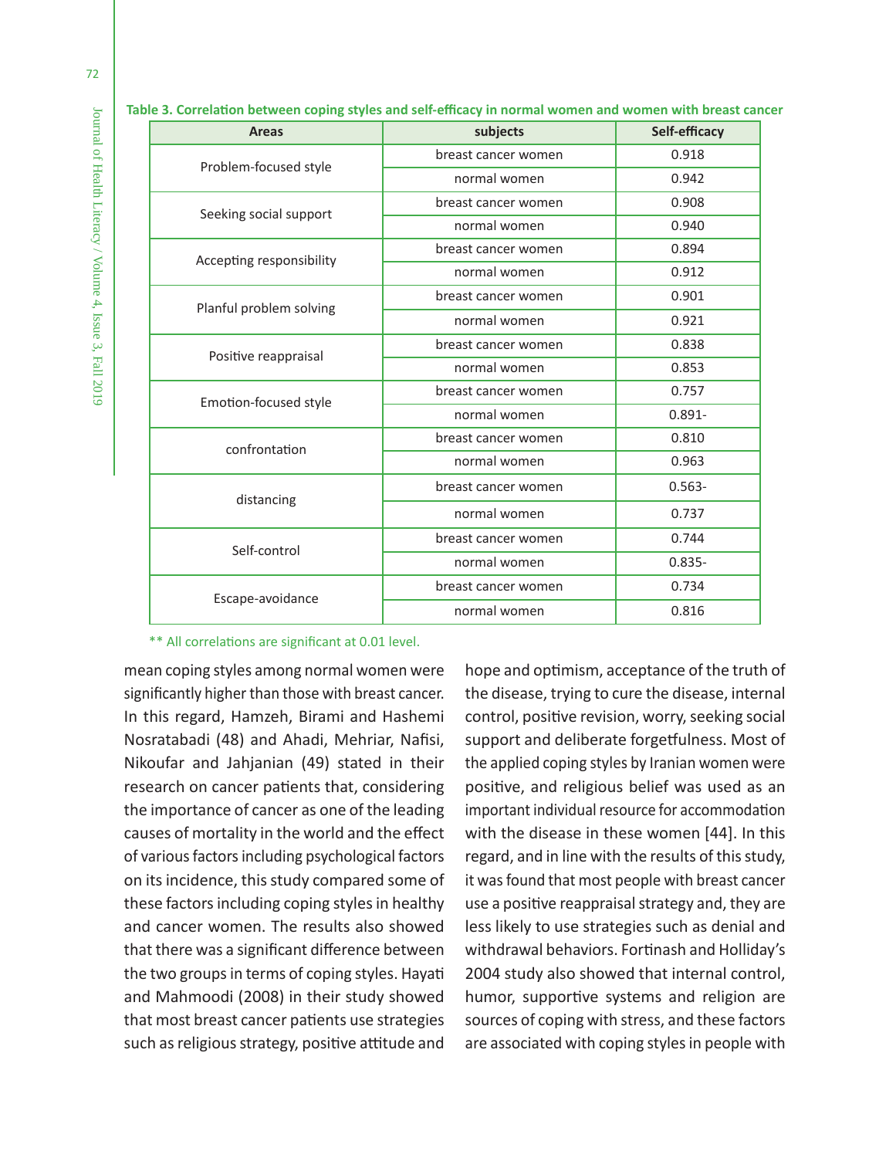| <b>Areas</b>             | subjects            | Self-efficacy |  |  |  |
|--------------------------|---------------------|---------------|--|--|--|
| Problem-focused style    | breast cancer women | 0.918         |  |  |  |
|                          | normal women        | 0.942         |  |  |  |
| Seeking social support   | breast cancer women | 0.908         |  |  |  |
|                          | normal women        | 0.940         |  |  |  |
| Accepting responsibility | breast cancer women | 0.894         |  |  |  |
|                          | normal women        | 0.912         |  |  |  |
| Planful problem solving  | breast cancer women | 0.901         |  |  |  |
|                          | normal women        | 0.921         |  |  |  |
|                          | breast cancer women | 0.838         |  |  |  |
| Positive reappraisal     | normal women        | 0.853         |  |  |  |
| Emotion-focused style    | breast cancer women | 0.757         |  |  |  |
|                          | normal women        | $0.891 -$     |  |  |  |
| confrontation            | breast cancer women | 0.810         |  |  |  |
|                          | normal women        | 0.963         |  |  |  |
| distancing               | breast cancer women | $0.563 -$     |  |  |  |
|                          | normal women        | 0.737         |  |  |  |
| Self-control             | breast cancer women | 0.744         |  |  |  |
|                          | normal women        | $0.835 -$     |  |  |  |
| Escape-avoidance         | breast cancer women | 0.734         |  |  |  |
|                          | normal women        | 0.816         |  |  |  |

**Table 3. Correlation between coping styles and self-efficacy in normal women and women with breast cancer**

#### \*\* All correlations are significant at 0.01 level.

mean coping styles among normal women were significantly higher than those with breast cancer. In this regard, Hamzeh, Birami and Hashemi Nosratabadi (48) and Ahadi, Mehriar, Nafisi, Nikoufar and Jahjanian (49) stated in their research on cancer patients that, considering the importance of cancer as one of the leading causes of mortality in the world and the effect of various factors including psychological factors on its incidence, this study compared some of these factors including coping styles in healthy and cancer women. The results also showed that there was a significant difference between the two groups in terms of coping styles. Hayati and Mahmoodi (2008) in their study showed that most breast cancer patients use strategies such as religious strategy, positive attitude and

hope and optimism, acceptance of the truth of the disease, trying to cure the disease, internal control, positive revision, worry, seeking social support and deliberate forgetfulness. Most of the applied coping styles by Iranian women were positive, and religious belief was used as an important individual resource for accommodation with the disease in these women [44]. In this regard, and in line with the results of this study, it was found that most people with breast cancer use a positive reappraisal strategy and, they are less likely to use strategies such as denial and withdrawal behaviors. Fortinash and Holliday's 2004 study also showed that internal control, humor, supportive systems and religion are sources of coping with stress, and these factors are associated with coping styles in people with

Journal of Health Literacy / Volume 4, Issue 3, Fall 2019

Journal of Health Literacy / Volume 4, Issue 3, Fall 2019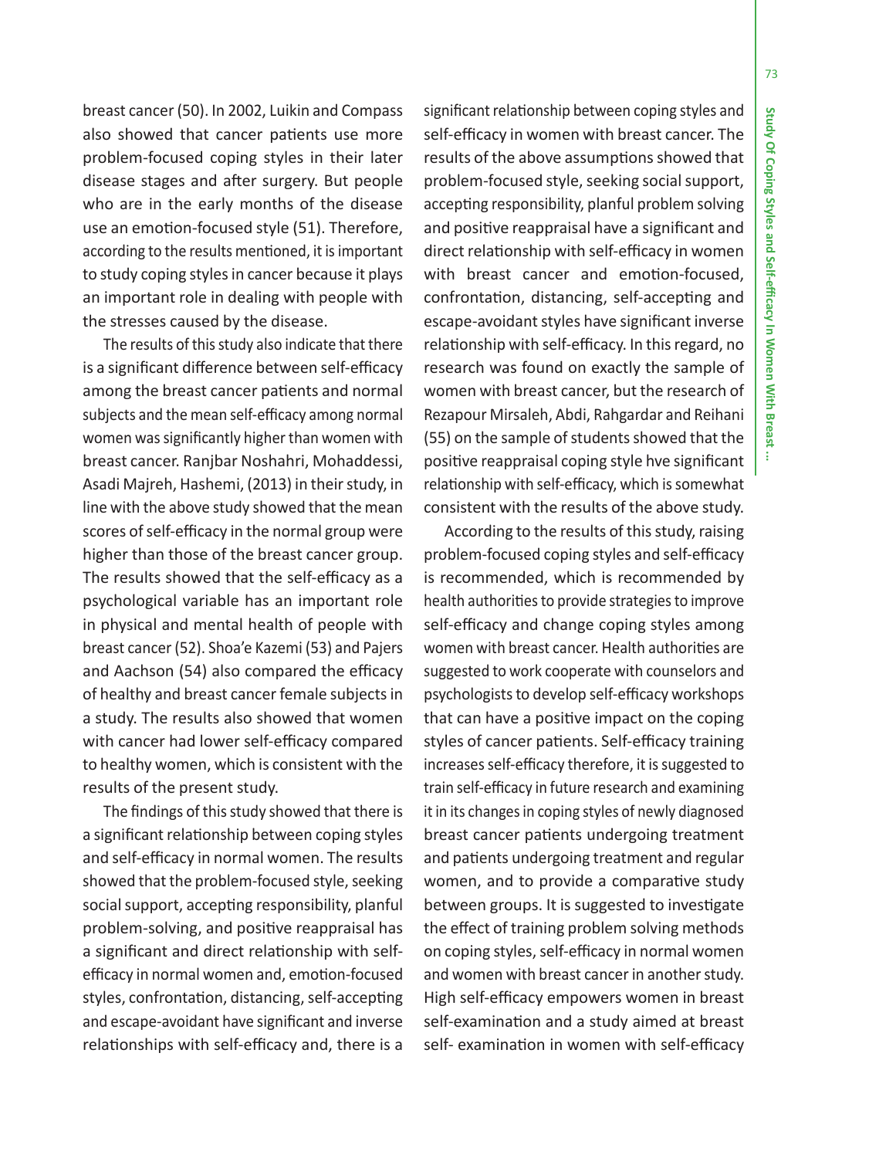73

breast cancer (50). In 2002, Luikin and Compass also showed that cancer patients use more problem-focused coping styles in their later disease stages and after surgery. But people who are in the early months of the disease use an emotion-focused style (51). Therefore, according to the results mentioned, it is important to study coping styles in cancer because it plays an important role in dealing with people with the stresses caused by the disease.

The results of this study also indicate that there is a significant difference between self-efficacy among the breast cancer patients and normal subjects and the mean self-efficacy among normal women was significantly higher than women with breast cancer. Ranjbar Noshahri, Mohaddessi, Asadi Majreh, Hashemi, (2013) in their study, in line with the above study showed that the mean scores of self-efficacy in the normal group were higher than those of the breast cancer group. The results showed that the self-efficacy as a psychological variable has an important role in physical and mental health of people with breast cancer (52). Shoa'e Kazemi (53) and Pajers and Aachson (54) also compared the efficacy of healthy and breast cancer female subjects in a study. The results also showed that women with cancer had lower self-efficacy compared to healthy women, which is consistent with the results of the present study.

The findings of this study showed that there is a significant relationship between coping styles and self-efficacy in normal women. The results showed that the problem-focused style, seeking social support, accepting responsibility, planful problem-solving, and positive reappraisal has a significant and direct relationship with selfefficacy in normal women and, emotion-focused styles, confrontation, distancing, self-accepting and escape-avoidant have significant and inverse relationships with self-efficacy and, there is a significant relationship between coping styles and self-efficacy in women with breast cancer. The results of the above assumptions showed that problem-focused style, seeking social support, accepting responsibility, planful problem solving and positive reappraisal have a significant and direct relationship with self-efficacy in women with breast cancer and emotion-focused, confrontation, distancing, self-accepting and escape-avoidant styles have significant inverse relationship with self-efficacy. In this regard, no research was found on exactly the sample of women with breast cancer, but the research of Rezapour Mirsaleh, Abdi, Rahgardar and Reihani (55) on the sample of students showed that the positive reappraisal coping style hve significant relationship with self-efficacy, which is somewhat consistent with the results of the above study.

According to the results of this study, raising problem-focused coping styles and self-efficacy is recommended, which is recommended by health authorities to provide strategies to improve self-efficacy and change coping styles among women with breast cancer. Health authorities are suggested to work cooperate with counselors and psychologists to develop self-efficacy workshops that can have a positive impact on the coping styles of cancer patients. Self-efficacy training increases self-efficacy therefore, it is suggested to train self-efficacy in future research and examining it in its changes in coping styles of newly diagnosed breast cancer patients undergoing treatment and patients undergoing treatment and regular women, and to provide a comparative study between groups. It is suggested to investigate the effect of training problem solving methods on coping styles, self-efficacy in normal women and women with breast cancer in another study. High self-efficacy empowers women in breast self-examination and a study aimed at breast self- examination in women with self-efficacy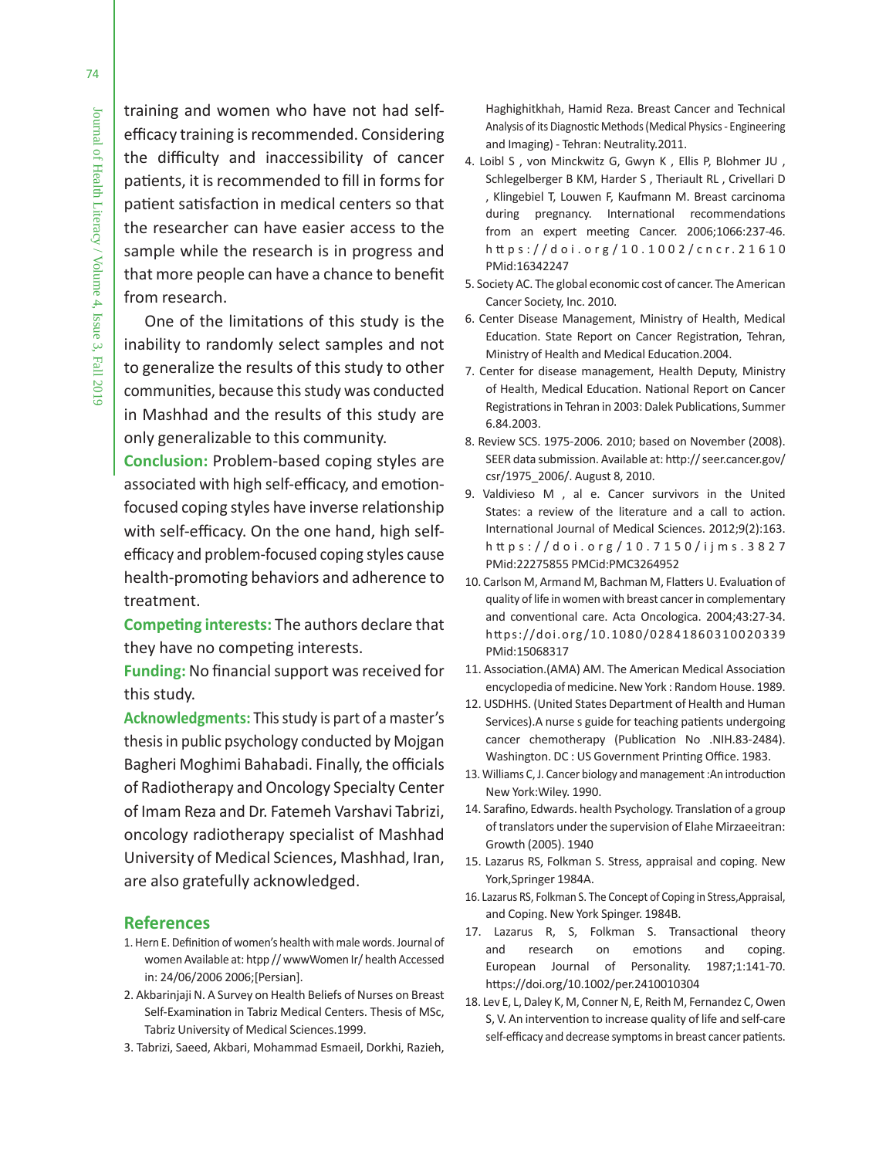training and women who have not had selfefficacy training is recommended. Considering the difficulty and inaccessibility of cancer patients, it is recommended to fill in forms for patient satisfaction in medical centers so that the researcher can have easier access to the sample while the research is in progress and that more people can have a chance to benefit from research.

# One of the limitations of this study is the inability to randomly select samples and not to generalize the results of this study to other communities, because this study was conducted in Mashhad and the results of this study are only generalizable to this community.

**Conclusion:** Problem-based coping styles are associated with high self-efficacy, and emotionfocused coping styles have inverse relationship with self-efficacy. On the one hand, high selfefficacy and problem-focused coping styles cause health-promoting behaviors and adherence to treatment.

**Competing interests:** The authors declare that they have no competing interests.

**Funding:** No financial support was received for this study.

**Acknowledgments:** This study is part of a master's thesis in public psychology conducted by Mojgan Bagheri Moghimi Bahabadi. Finally, the officials of Radiotherapy and Oncology Specialty Center of Imam Reza and Dr. Fatemeh Varshavi Tabrizi, oncology radiotherapy specialist of Mashhad University of Medical Sciences, Mashhad, Iran, are also gratefully acknowledged.

#### **References**

- 1. Hern E. Definition of women's health with male words. Journal of women Available at: htpp // wwwWomen Ir/ health Accessed in: 24/06/2006 2006;[Persian].
- 2. Akbarinjaji N. A Survey on Health Beliefs of Nurses on Breast Self-Examination in Tabriz Medical Centers. Thesis of MSc, Tabriz University of Medical Sciences.1999.
- 3. Tabrizi, Saeed, Akbari, Mohammad Esmaeil, Dorkhi, Razieh,

Haghighitkhah, Hamid Reza. Breast Cancer and Technical Analysis of its Diagnostic Methods (Medical Physics - Engineering and Imaging) - Tehran: Neutrality.2011.

- 4. Loibl S , von Minckwitz G, Gwyn K , Ellis P, Blohmer JU , Schlegelberger B KM, Harder S , Theriault RL , Crivellari D , Klingebiel T, Louwen F, Kaufmann M. Breast carcinoma during pregnancy. International recommendations from an expert meeting Cancer. 2006;1066:237-46. h tt ps://doi.org /10.1002/cncr.21610 PMid:16342247
- 5. Society AC. The global economic cost of cancer. The American Cancer Society, Inc. 2010.
- 6. Center Disease Management, Ministry of Health, Medical Education. State Report on Cancer Registration, Tehran, Ministry of Health and Medical Education.2004.
- 7. Center for disease management, Health Deputy, Ministry of Health, Medical Education. National Report on Cancer Registrations in Tehran in 2003: Dalek Publications, Summer 6.84.2003.
- 8. Review SCS. 1975-2006. 2010; based on November (2008). SEER data submission. Available at: http:// seer.cancer.gov/ csr/1975\_2006/. August 8, 2010.
- 9. Valdivieso M , al e. Cancer survivors in the United States: a review of the literature and a call to action. International Journal of Medical Sciences. 2012;9(2):163. h tt ps://doi.org/10.7150/ijms.3827 PMid:22275855 PMCid:PMC3264952
- 10. Carlson M, Armand M, Bachman M, Flatters U. Evaluation of quality of life in women with breast cancer in complementary and conventional care. Acta Oncologica. 2004;43:27-34. https://doi.org/10.1080/02841860310020339 PMid:15068317
- 11. Association.(AMA) AM. The American Medical Association encyclopedia of medicine. New York : Random House. 1989.
- 12. USDHHS. (United States Department of Health and Human Services).A nurse s guide for teaching patients undergoing cancer chemotherapy (Publication No .NIH.83-2484). Washington. DC : US Government Printing Office. 1983.
- 13. Williams C, J. Cancer biology and management :An introduction New York:Wiley. 1990.
- 14. Sarafino, Edwards. health Psychology. Translation of a group of translators under the supervision of Elahe Mirzaeeitran: Growth (2005). 1940
- 15. Lazarus RS, Folkman S. Stress, appraisal and coping. New York,Springer 1984A.
- 16. Lazarus RS, Folkman S. The Concept of Coping in Stress,Appraisal, and Coping. New York Spinger. 1984B.
- 17. Lazarus R, S, Folkman S. Transactional theory and research on emotions and coping. European Journal of Personality. 1987;1:141-70. https://doi.org/10.1002/per.2410010304
- 18. Lev E, L, Daley K, M, Conner N, E, Reith M, Fernandez C, Owen S, V. An intervention to increase quality of life and self-care self-efficacy and decrease symptoms in breast cancer patients.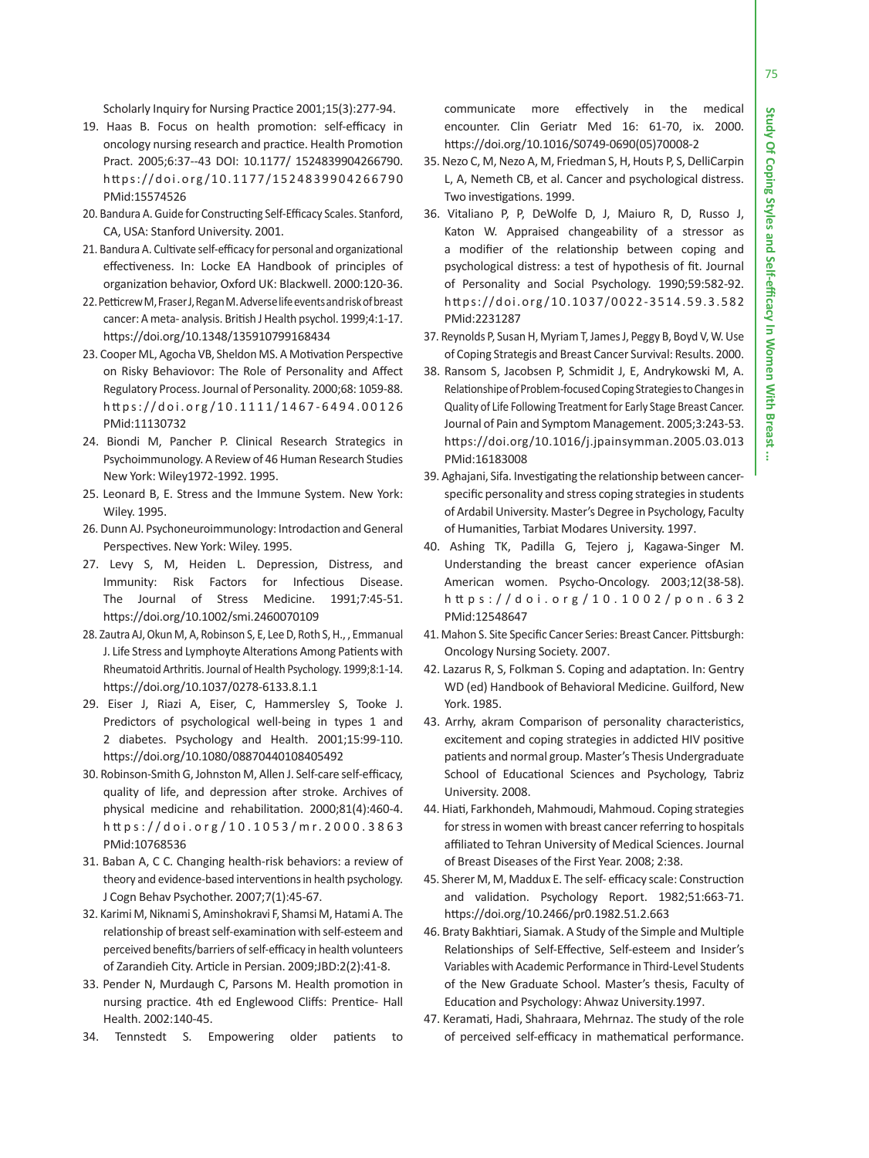÷

75

Scholarly Inquiry for Nursing Practice 2001;15(3):277-94.

- 19. Haas B. Focus on health promotion: self-efficacy in oncology nursing research and practice. Health Promotion Pract. 2005;6:37--43 DOI: 10.1177/ 1524839904266790. https://doi.org/10.1177/1524839904266790 PMid:15574526
- 20. Bandura A. Guide for Constructing Self-Efficacy Scales. Stanford, CA, USA: Stanford University. 2001.
- 21. Bandura A. Cultivate self-efficacy for personal and organizational effectiveness. In: Locke EA Handbook of principles of organization behavior, Oxford UK: Blackwell. 2000:120-36.
- 22. Petticrew M, Fraser J, Regan M. Adverse life events and risk of breast cancer: A meta- analysis. British J Health psychol. 1999;4:1-17. https://doi.org/10.1348/135910799168434
- 23. Cooper ML, Agocha VB, Sheldon MS. A Motivation Perspective on Risky Behaviovor: The Role of Personality and Affect Regulatory Process. Journal of Personality. 2000;68: 1059-88. https://doi.org/10.1111/1467-6494.00126 PMid:11130732
- 24. Biondi M, Pancher P. Clinical Research Strategics in Psychoimmunology. A Review of 46 Human Research Studies New York: Wiley1972-1992. 1995.
- 25. Leonard B, E. Stress and the Immune System. New York: Wiley. 1995.
- 26. Dunn AJ. Psychoneuroimmunology: Introdaction and General Perspectives. New York: Wiley. 1995.
- 27. Levy S, M, Heiden L. Depression, Distress, and Immunity: Risk Factors for Infectious Disease. The Journal of Stress Medicine. 1991;7:45-51. https://doi.org/10.1002/smi.2460070109
- 28. Zautra AJ, Okun M, A, Robinson S, E, Lee D, Roth S, H., , Emmanual J. Life Stress and Lymphoyte Alterations Among Patients with Rheumatoid Arthritis. Journal of Health Psychology. 1999;8:1-14. https://doi.org/10.1037/0278-6133.8.1.1
- 29. Eiser J, Riazi A, Eiser, C, Hammersley S, Tooke J. Predictors of psychological well-being in types 1 and 2 diabetes. Psychology and Health. 2001;15:99-110. https://doi.org/10.1080/08870440108405492
- 30. Robinson-Smith G, Johnston M, Allen J. Self-care self-efficacy, quality of life, and depression after stroke. Archives of physical medicine and rehabilitation. 2000;81(4):460-4. h tt ps://doi.org /10.1053/mr.2000.3863 PMid:10768536
- 31. Baban A, C C. Changing health-risk behaviors: a review of theory and evidence-based interventions in health psychology. J Cogn Behav Psychother. 2007;7(1):45-67.
- 32. Karimi M, Niknami S, Aminshokravi F, Shamsi M, Hatami A. The relationship of breast self-examination with self-esteem and perceived benefits/barriers of self-efficacy in health volunteers of Zarandieh City. Article in Persian. 2009;JBD:2(2):41-8.
- 33. Pender N, Murdaugh C, Parsons M. Health promotion in nursing practice. 4th ed Englewood Cliffs: Prentice- Hall Health. 2002:140-45.
- 34. Tennstedt S. Empowering older patients to

communicate more effectively in the medical encounter. Clin Geriatr Med 16: 61-70, ix. 2000. https://doi.org/10.1016/S0749-0690(05)70008-2

- 35. Nezo C, M, Nezo A, M, Friedman S, H, Houts P, S, DelliCarpin L, A, Nemeth CB, et al. Cancer and psychological distress. Two investigations. 1999.
- 36. Vitaliano P, P, DeWolfe D, J, Maiuro R, D, Russo J, Katon W. Appraised changeability of a stressor as a modifier of the relationship between coping and psychological distress: a test of hypothesis of fit. Journal of Personality and Social Psychology. 1990;59:582-92. https://doi.org/10.1037/0022-3514.59.3.582 PMid:2231287
- 37. Reynolds P, Susan H, Myriam T, James J, Peggy B, Boyd V, W. Use of Coping Strategis and Breast Cancer Survival: Results. 2000.
- 38. Ransom S, Jacobsen P, Schmidit J, E, Andrykowski M, A. Relationshipe of Problem-focused Coping Strategies to Changes in Quality of Life Following Treatment for Early Stage Breast Cancer. Journal of Pain and Symptom Management. 2005;3:243-53. https://doi.org/10.1016/j.jpainsymman.2005.03.013 PMid:16183008
- 39. Aghajani, Sifa. Investigating the relationship between cancerspecific personality and stress coping strategies in students of Ardabil University. Master's Degree in Psychology, Faculty of Humanities, Tarbiat Modares University. 1997.
- 40. Ashing TK, Padilla G, Tejero j, Kagawa-Singer M. Understanding the breast cancer experience ofAsian American women. Psycho-Oncology. 2003;12(38-58). h tt ps://doi.org/10.1002/pon.632 PMid:12548647
- 41. Mahon S. Site Specific Cancer Series: Breast Cancer. Pittsburgh: Oncology Nursing Society. 2007.
- 42. Lazarus R, S, Folkman S. Coping and adaptation. In: Gentry WD (ed) Handbook of Behavioral Medicine. Guilford, New York. 1985.
- 43. Arrhy, akram Comparison of personality characteristics, excitement and coping strategies in addicted HIV positive patients and normal group. Master's Thesis Undergraduate School of Educational Sciences and Psychology, Tabriz University. 2008.
- 44. Hiati, Farkhondeh, Mahmoudi, Mahmoud. Coping strategies for stress in women with breast cancer referring to hospitals affiliated to Tehran University of Medical Sciences. Journal of Breast Diseases of the First Year. 2008; 2:38.
- 45. Sherer M, M, Maddux E. The self- efficacy scale: Construction and validation. Psychology Report. 1982;51:663-71. https://doi.org/10.2466/pr0.1982.51.2.663
- 46. Braty Bakhtiari, Siamak. A Study of the Simple and Multiple Relationships of Self-Effective, Self-esteem and Insider's Variables with Academic Performance in Third-Level Students of the New Graduate School. Master's thesis, Faculty of Education and Psychology: Ahwaz University.1997.
- 47. Keramati, Hadi, Shahraara, Mehrnaz. The study of the role of perceived self-efficacy in mathematical performance.